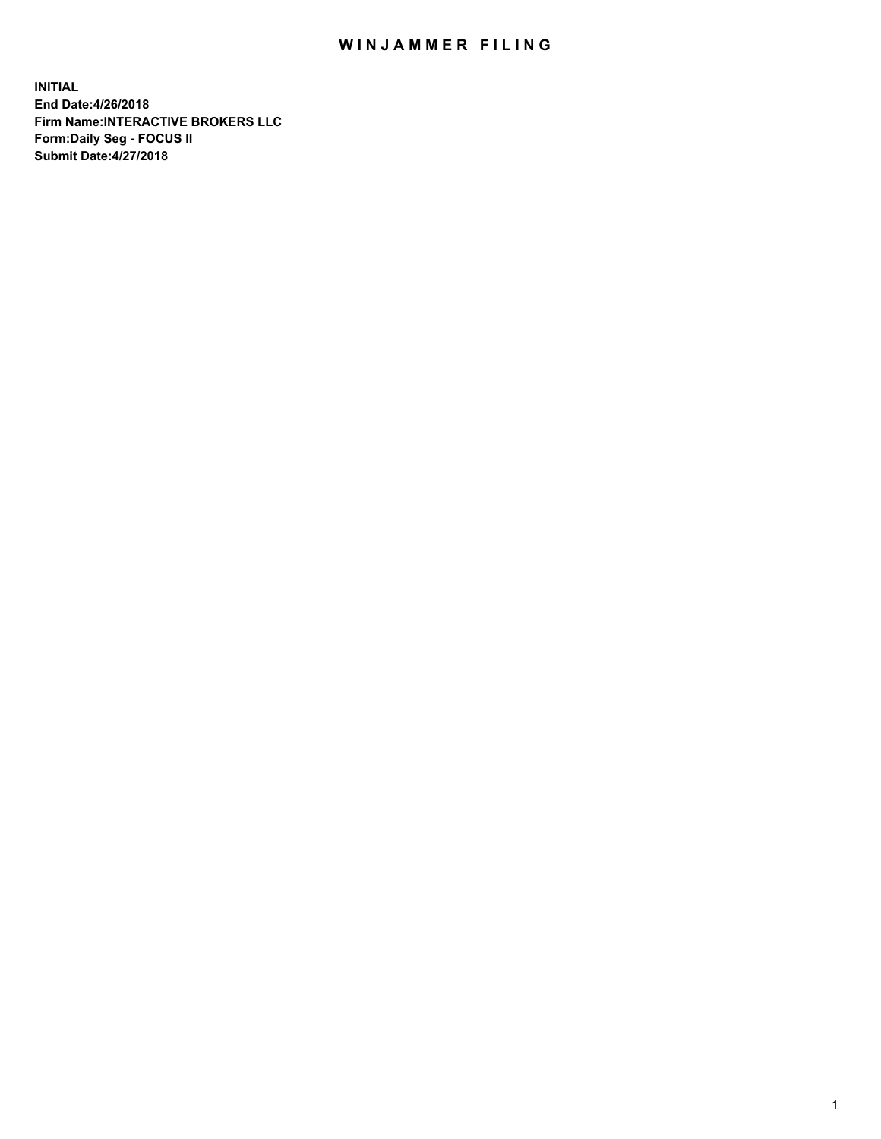## WIN JAMMER FILING

**INITIAL End Date:4/26/2018 Firm Name:INTERACTIVE BROKERS LLC Form:Daily Seg - FOCUS II Submit Date:4/27/2018**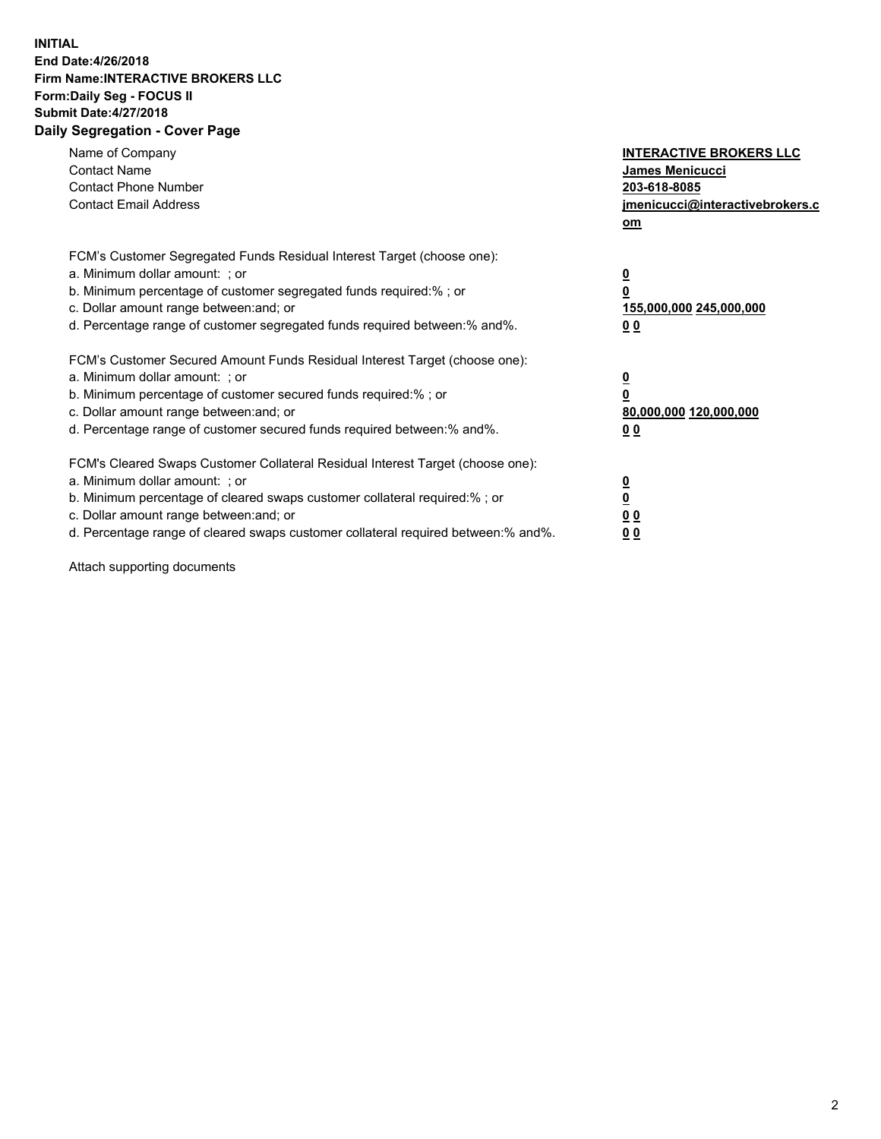## **INITIAL End Date:4/26/2018 Firm Name:INTERACTIVE BROKERS LLC Form:Daily Seg - FOCUS II Submit Date:4/27/2018 Daily Segregation - Cover Page**

| Name of Company<br><b>Contact Name</b><br><b>Contact Phone Number</b><br><b>Contact Email Address</b>                                                                                                                                                                                                                          | <b>INTERACTIVE BROKERS LLC</b><br>James Menicucci<br>203-618-8085<br>jmenicucci@interactivebrokers.c<br>om |
|--------------------------------------------------------------------------------------------------------------------------------------------------------------------------------------------------------------------------------------------------------------------------------------------------------------------------------|------------------------------------------------------------------------------------------------------------|
| FCM's Customer Segregated Funds Residual Interest Target (choose one):<br>a. Minimum dollar amount: ; or<br>b. Minimum percentage of customer segregated funds required:% ; or<br>c. Dollar amount range between: and; or<br>d. Percentage range of customer segregated funds required between: % and %.                       | $\overline{\mathbf{0}}$<br>0<br>155,000,000 245,000,000<br>00                                              |
| FCM's Customer Secured Amount Funds Residual Interest Target (choose one):<br>a. Minimum dollar amount: ; or<br>b. Minimum percentage of customer secured funds required:%; or<br>c. Dollar amount range between: and; or<br>d. Percentage range of customer secured funds required between:% and%.                            | $\overline{\mathbf{0}}$<br>0<br>80,000,000 120,000,000<br>0 <sub>0</sub>                                   |
| FCM's Cleared Swaps Customer Collateral Residual Interest Target (choose one):<br>a. Minimum dollar amount: ; or<br>b. Minimum percentage of cleared swaps customer collateral required:% ; or<br>c. Dollar amount range between: and; or<br>d. Percentage range of cleared swaps customer collateral required between:% and%. | $\overline{\mathbf{0}}$<br>$\underline{\mathbf{0}}$<br>0 <sub>0</sub><br>0 <sub>0</sub>                    |

Attach supporting documents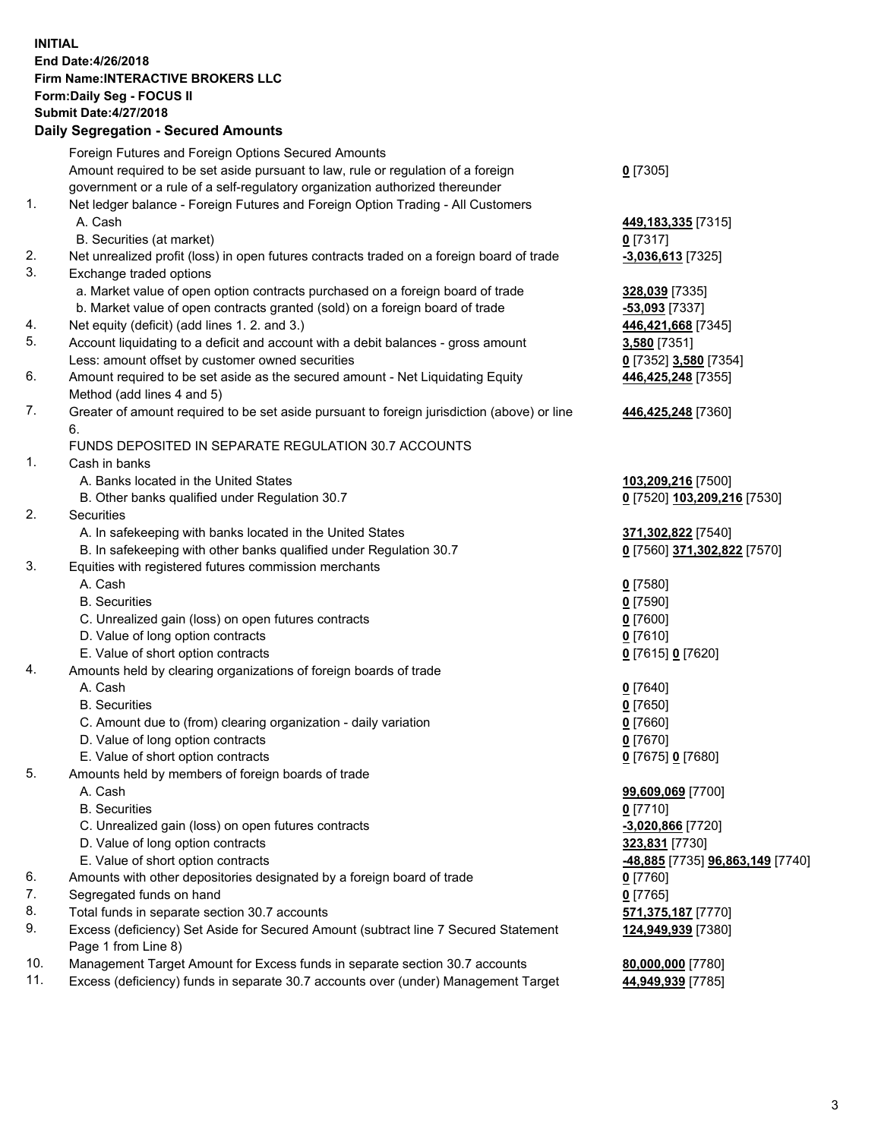## **INITIAL End Date:4/26/2018 Firm Name:INTERACTIVE BROKERS LLC Form:Daily Seg - FOCUS II Submit Date:4/27/2018 Daily Segregation - Secured Amounts**

|                | Daily Ocglegation - Occuled Amounts                                                                        |                                  |
|----------------|------------------------------------------------------------------------------------------------------------|----------------------------------|
|                | Foreign Futures and Foreign Options Secured Amounts                                                        |                                  |
|                | Amount required to be set aside pursuant to law, rule or regulation of a foreign                           | $0$ [7305]                       |
|                | government or a rule of a self-regulatory organization authorized thereunder                               |                                  |
| 1.             | Net ledger balance - Foreign Futures and Foreign Option Trading - All Customers                            |                                  |
|                | A. Cash                                                                                                    | 449, 183, 335 [7315]             |
|                | B. Securities (at market)                                                                                  | $0$ [7317]                       |
| 2.             | Net unrealized profit (loss) in open futures contracts traded on a foreign board of trade                  | $-3,036,613$ [7325]              |
| 3.             | Exchange traded options                                                                                    |                                  |
|                | a. Market value of open option contracts purchased on a foreign board of trade                             | 328,039 [7335]                   |
|                | b. Market value of open contracts granted (sold) on a foreign board of trade                               | -53,093 [7337]                   |
| 4.             | Net equity (deficit) (add lines 1.2. and 3.)                                                               | 446,421,668 [7345]               |
| 5.             | Account liquidating to a deficit and account with a debit balances - gross amount                          | 3,580 [7351]                     |
|                | Less: amount offset by customer owned securities                                                           | 0 [7352] 3,580 [7354]            |
| 6.             | Amount required to be set aside as the secured amount - Net Liquidating Equity                             | 446,425,248 [7355]               |
|                | Method (add lines 4 and 5)                                                                                 |                                  |
| 7.             | Greater of amount required to be set aside pursuant to foreign jurisdiction (above) or line                | 446,425,248 [7360]               |
|                | 6.                                                                                                         |                                  |
|                | FUNDS DEPOSITED IN SEPARATE REGULATION 30.7 ACCOUNTS                                                       |                                  |
| $\mathbf{1}$ . | Cash in banks                                                                                              |                                  |
|                | A. Banks located in the United States                                                                      | 103,209,216 [7500]               |
|                | B. Other banks qualified under Regulation 30.7                                                             | 0 [7520] 103,209,216 [7530]      |
| 2.             | Securities                                                                                                 |                                  |
|                | A. In safekeeping with banks located in the United States                                                  | 371,302,822 [7540]               |
|                | B. In safekeeping with other banks qualified under Regulation 30.7                                         | 0 [7560] 371,302,822 [7570]      |
| 3.             | Equities with registered futures commission merchants                                                      |                                  |
|                | A. Cash                                                                                                    | $0$ [7580]                       |
|                | <b>B.</b> Securities                                                                                       | $0$ [7590]                       |
|                | C. Unrealized gain (loss) on open futures contracts                                                        | $0$ [7600]                       |
|                | D. Value of long option contracts                                                                          | $0$ [7610]                       |
|                | E. Value of short option contracts                                                                         | 0 [7615] 0 [7620]                |
| 4.             | Amounts held by clearing organizations of foreign boards of trade                                          |                                  |
|                | A. Cash                                                                                                    | $0$ [7640]                       |
|                | <b>B.</b> Securities                                                                                       | $0$ [7650]                       |
|                | C. Amount due to (from) clearing organization - daily variation                                            | $0$ [7660]                       |
|                | D. Value of long option contracts                                                                          | $0$ [7670]                       |
|                | E. Value of short option contracts                                                                         | 0 [7675] 0 [7680]                |
| 5.             | Amounts held by members of foreign boards of trade                                                         |                                  |
|                | A. Cash                                                                                                    | 99,609,069 [7700]                |
|                | <b>B.</b> Securities                                                                                       | $0$ [7710]                       |
|                | C. Unrealized gain (loss) on open futures contracts                                                        | $-3,020,866$ [7720]              |
|                | D. Value of long option contracts                                                                          | 323,831 [7730]                   |
|                | E. Value of short option contracts                                                                         | -48,885 [7735] 96,863,149 [7740] |
| 6.             | Amounts with other depositories designated by a foreign board of trade                                     | $0$ [7760]                       |
| 7.             | Segregated funds on hand                                                                                   | $0$ [7765]                       |
| 8.             | Total funds in separate section 30.7 accounts                                                              | 571,375,187 [7770]               |
| 9.             | Excess (deficiency) Set Aside for Secured Amount (subtract line 7 Secured Statement<br>Page 1 from Line 8) | 124,949,939 [7380]               |
| 10.            | Management Target Amount for Excess funds in separate section 30.7 accounts                                | 80,000,000 [7780]                |
| 11.            | Excess (deficiency) funds in separate 30.7 accounts over (under) Management Target                         | 44,949,939 [7785]                |
|                |                                                                                                            |                                  |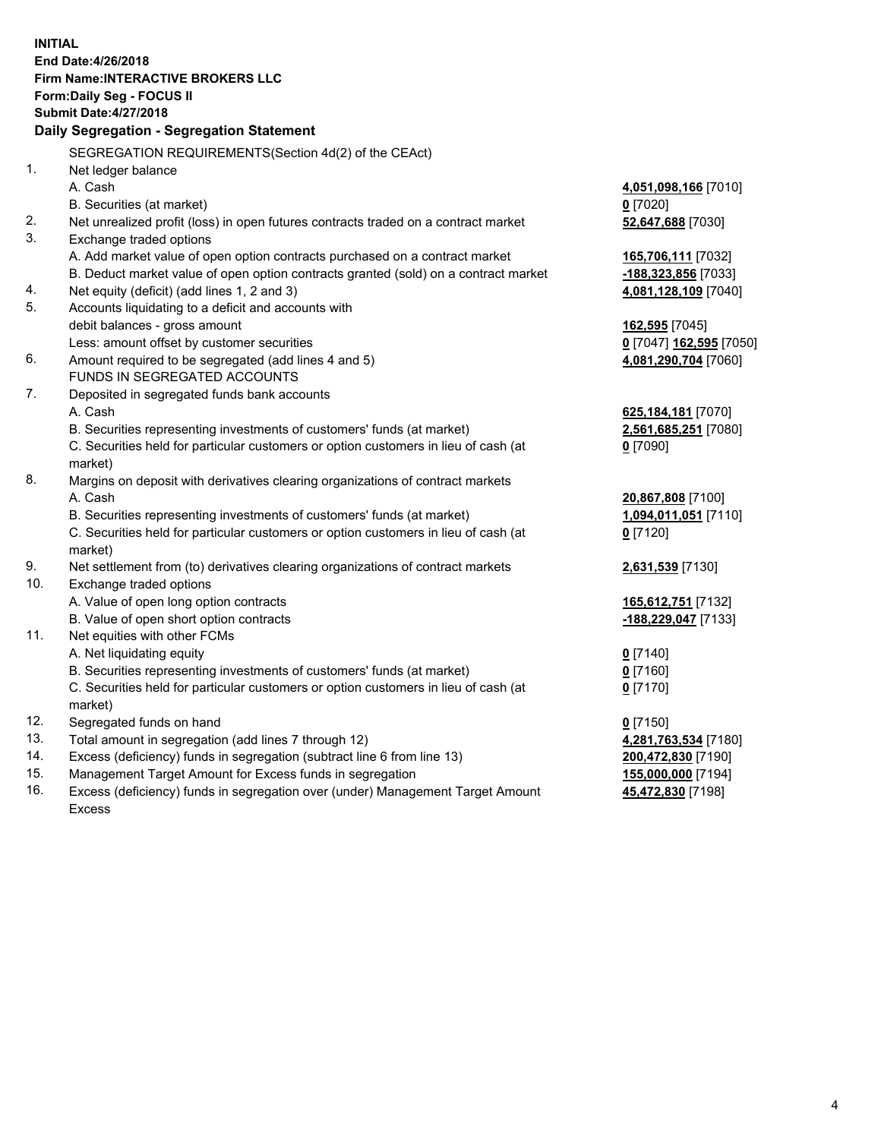**INITIAL End Date:4/26/2018 Firm Name:INTERACTIVE BROKERS LLC Form:Daily Seg - FOCUS II Submit Date:4/27/2018 Daily Segregation - Segregation Statement** SEGREGATION REQUIREMENTS(Section 4d(2) of the CEAct) 1. Net ledger balance A. Cash **4,051,098,166** [7010] B. Securities (at market) **0** [7020] 2. Net unrealized profit (loss) in open futures contracts traded on a contract market **52,647,688** [7030] 3. Exchange traded options A. Add market value of open option contracts purchased on a contract market **165,706,111** [7032] B. Deduct market value of open option contracts granted (sold) on a contract market **-188,323,856** [7033] 4. Net equity (deficit) (add lines 1, 2 and 3) **4,081,128,109** [7040] 5. Accounts liquidating to a deficit and accounts with debit balances - gross amount **162,595** [7045] Less: amount offset by customer securities **0** [7047] **162,595** [7050] 6. Amount required to be segregated (add lines 4 and 5) **4,081,290,704** [7060] FUNDS IN SEGREGATED ACCOUNTS 7. Deposited in segregated funds bank accounts A. Cash **625,184,181** [7070] B. Securities representing investments of customers' funds (at market) **2,561,685,251** [7080] C. Securities held for particular customers or option customers in lieu of cash (at market) **0** [7090] 8. Margins on deposit with derivatives clearing organizations of contract markets A. Cash **20,867,808** [7100] B. Securities representing investments of customers' funds (at market) **1,094,011,051** [7110] C. Securities held for particular customers or option customers in lieu of cash (at market) **0** [7120] 9. Net settlement from (to) derivatives clearing organizations of contract markets **2,631,539** [7130] 10. Exchange traded options A. Value of open long option contracts **165,612,751** [7132] B. Value of open short option contracts **-188,229,047** [7133] 11. Net equities with other FCMs A. Net liquidating equity **0** [7140] B. Securities representing investments of customers' funds (at market) **0** [7160] C. Securities held for particular customers or option customers in lieu of cash (at market) **0** [7170] 12. Segregated funds on hand **0** [7150] 13. Total amount in segregation (add lines 7 through 12) **4,281,763,534** [7180] 14. Excess (deficiency) funds in segregation (subtract line 6 from line 13) **200,472,830** [7190] 15. Management Target Amount for Excess funds in segregation **155,000,000** [7194]

16. Excess (deficiency) funds in segregation over (under) Management Target Amount Excess

**45,472,830** [7198]